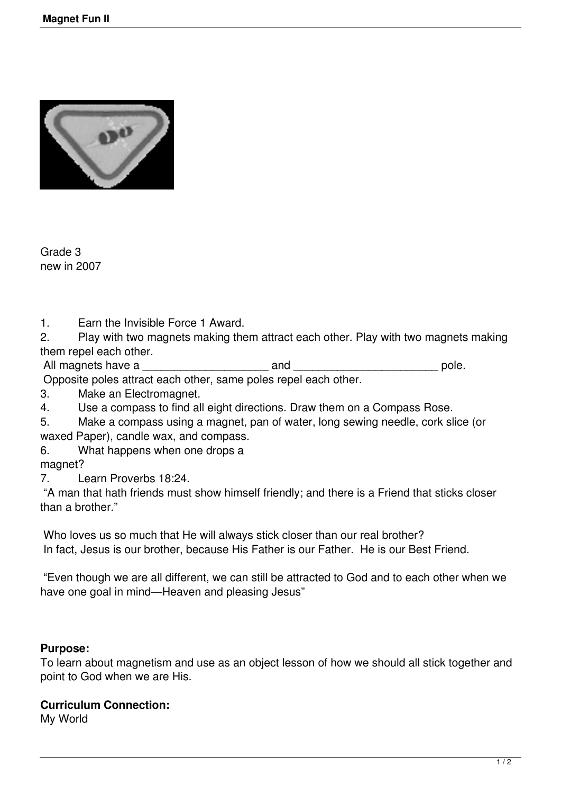

Grade 3 new in 2007

1. Earn the Invisible Force 1 Award.

2. Play with two magnets making them attract each other. Play with two magnets making them repel each other.

All magnets have a \_\_\_\_\_\_\_\_\_\_\_\_\_\_\_\_\_\_\_\_ and \_\_\_\_\_\_\_\_\_\_\_\_\_\_\_\_\_\_\_\_\_\_\_ pole.

Opposite poles attract each other, same poles repel each other.

3. Make an Electromagnet.<br>4 Use a compass to find all

Use a compass to find all eight directions. Draw them on a Compass Rose.

5. Make a compass using a magnet, pan of water, long sewing needle, cork slice (or waxed Paper), candle wax, and compass.

6. What happens when one drops a

magnet?

7. Learn Proverbs 18:24.

 "A man that hath friends must show himself friendly; and there is a Friend that sticks closer than a brother."

 Who loves us so much that He will always stick closer than our real brother? In fact, Jesus is our brother, because His Father is our Father. He is our Best Friend.

 "Even though we are all different, we can still be attracted to God and to each other when we have one goal in mind—Heaven and pleasing Jesus"

## **Purpose:**

To learn about magnetism and use as an object lesson of how we should all stick together and point to God when we are His.

## **Curriculum Connection:**

My World